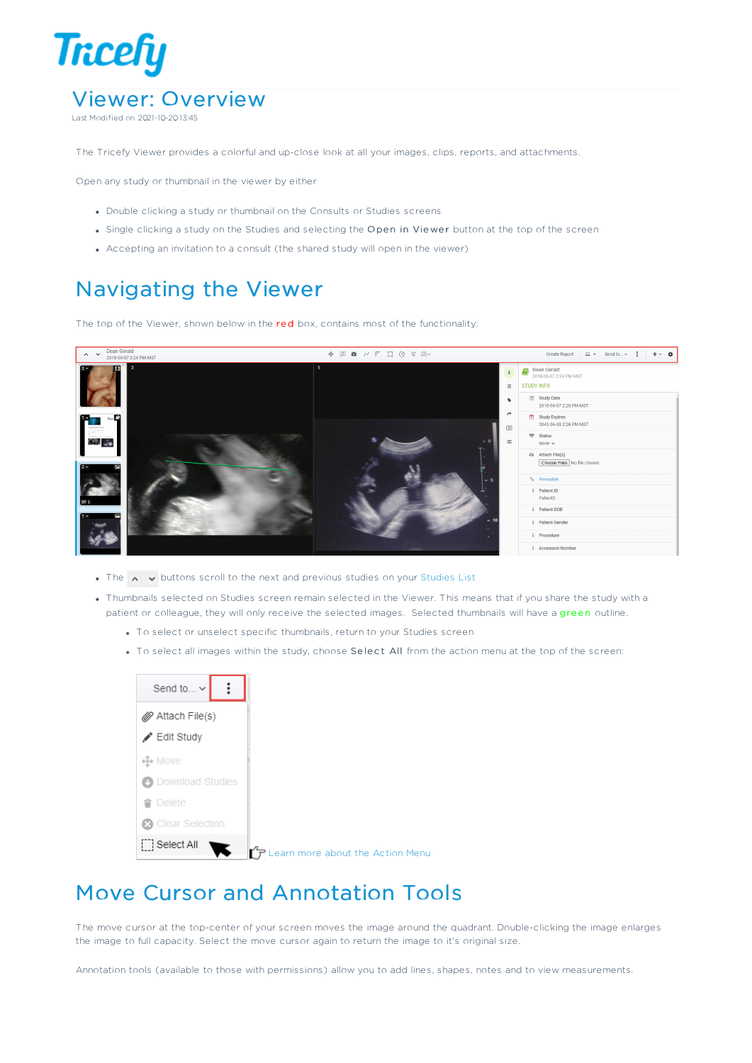

Last Modified on 2021-10-20 13:45

The Tricefy Viewer provides a colorful and up-close look at all your images, clips, reports, and attachments.

Open any study or thumbnail in the viewer by either

- Double clicking a study or thumbnail on the Consults or Studies screens
- Single clicking a study on the Studies and selecting the Open in Viewer button at the top of the screen
- Accepting an invitation to a consult (the shared study will open in the viewer)

## Navigating the Viewer

The top of the Viewer, shown below in the red box, contains most of the functionality:



- $\bullet$  The  $\overline{\bullet}$   $\overline{\bullet}$  buttons scroll to the next and previous studies on your Studies List
- Thumbnails selected on Studies screen remain selected in the Viewer. This means that if you share the study with a patient or colleague, they will only receive the selected images. Selected thumbnails will have a green outline.
	- To select or unselect specific thumbnails, return to your Studies screen
	- . To select all images within the study, choose Select All from the action menu at the top of the screen:



## Move Cursor and Annotation Tools

The move cursor at the top-center of your screen moves the image around the quadrant. Double-clicking the image enlarges the image to full capacity. Select the move cursor again to return the image to it's original size.

Annotation tools (available to those with permissions) allow you to add lines, shapes, notes and to view measurements.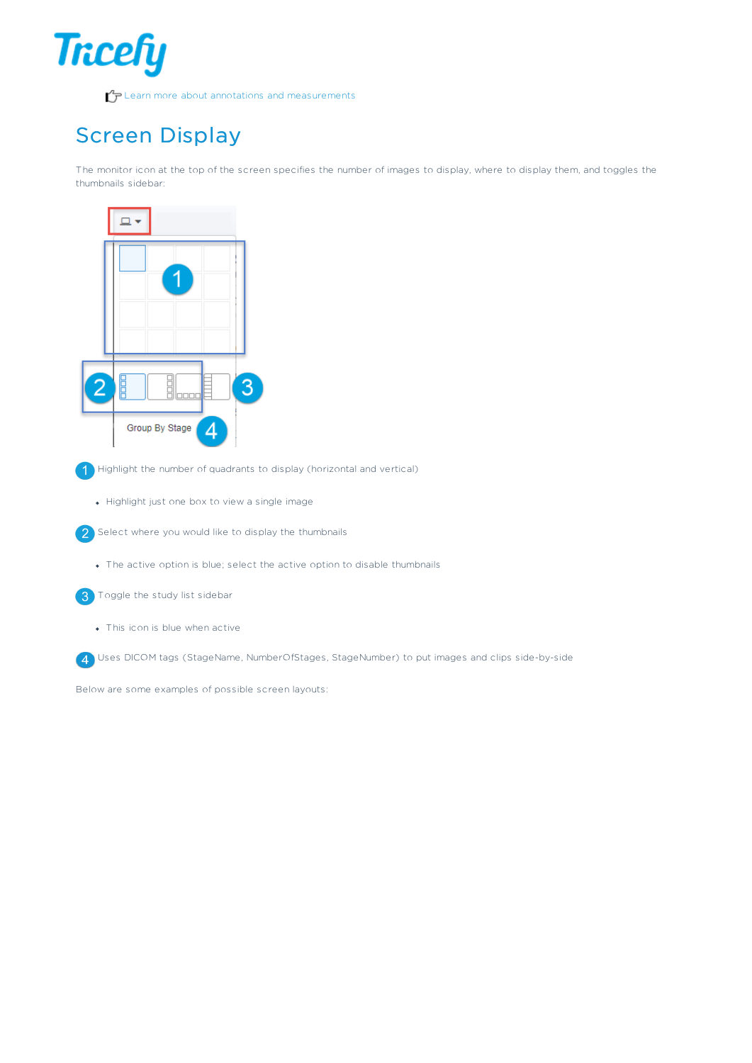

## Screen Display

The monitor icon at the top of the screen specifies the number of images to display, where to display them, and toggles the thumbnails sidebar:



Highlight the number of quadrants to display (horizontal and vertical)

- Highlight just one box to view a single image
- Select where you would like to display the thumbnails
	- The active option is blue; select the active option to disable thumbnails

**3** Toggle the study list sidebar

This icon is blue when active

Uses DICOM tags (StageName, NumberOfStages, StageNumber) to put images and clips side-by-side

Below are some examples of possible screen layouts: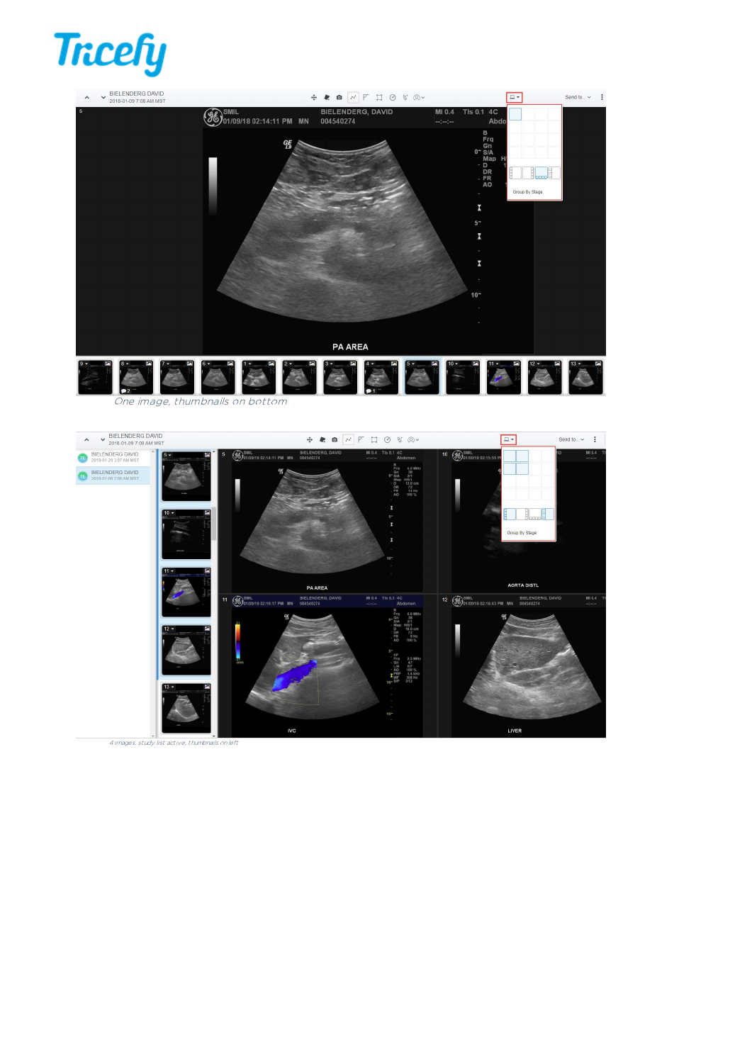## **Tricefy**



LIVER

4 images, study list active, thumbnails onleft

**IVC**